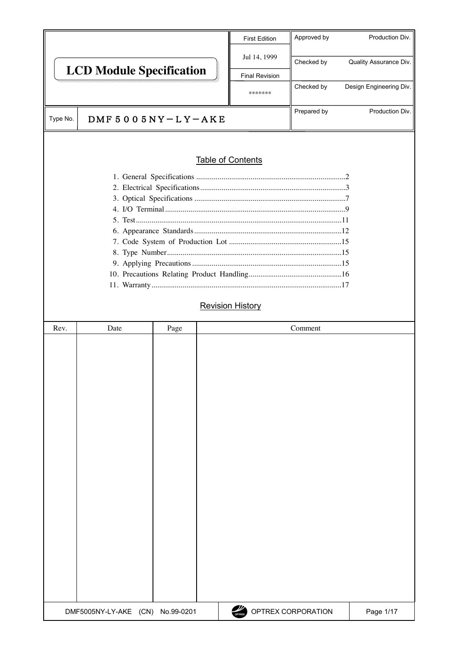|          |                                  |                     | <b>First Edition</b>     | Approved by        | Production Div.         |
|----------|----------------------------------|---------------------|--------------------------|--------------------|-------------------------|
|          | <b>LCD Module Specification</b>  |                     | Jul 14, 1999             | Checked by         | Quality Assurance Div.  |
|          |                                  |                     | <b>Final Revision</b>    |                    |                         |
|          |                                  |                     | *******                  | Checked by         | Design Engineering Div. |
| Type No. |                                  | DMF $5005NY-LY-AKE$ |                          | Prepared by        | Production Div.         |
|          |                                  |                     |                          |                    |                         |
|          |                                  |                     | <b>Table of Contents</b> |                    |                         |
|          |                                  |                     |                          |                    |                         |
|          |                                  |                     |                          |                    |                         |
|          |                                  |                     |                          |                    |                         |
|          |                                  |                     |                          |                    |                         |
|          |                                  |                     |                          |                    |                         |
|          |                                  |                     |                          |                    |                         |
|          |                                  |                     |                          |                    |                         |
|          |                                  |                     |                          |                    |                         |
|          |                                  |                     |                          |                    |                         |
|          |                                  |                     | <b>Revision History</b>  |                    |                         |
| Rev.     | Date                             | Page                |                          | Comment            |                         |
|          |                                  |                     |                          |                    |                         |
|          | DMF5005NY-LY-AKE (CN) No.99-0201 |                     | OPTREX                   | OPTREX CORPORATION | Page 1/17               |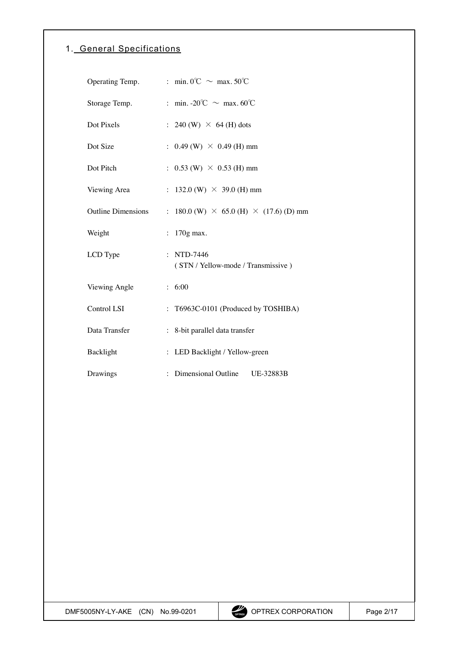# <span id="page-1-0"></span>1. General Specifications

| Operating Temp.           | : min. 0°C $\sim$ max. 50°C                                      |
|---------------------------|------------------------------------------------------------------|
| Storage Temp.             | : min. -20°C $\sim$ max. 60°C                                    |
| Dot Pixels                | : 240 (W) $\times$ 64 (H) dots                                   |
| Dot Size                  | : $0.49$ (W) $\times$ 0.49 (H) mm                                |
| Dot Pitch                 | : $0.53$ (W) $\times$ 0.53 (H) mm                                |
| Viewing Area              | : 132.0 (W) $\times$ 39.0 (H) mm                                 |
| <b>Outline Dimensions</b> | : 180.0 (W) $\times$ 65.0 (H) $\times$ (17.6) (D) mm             |
| Weight                    | $170g$ max.<br>$\ddot{\phantom{0}}$                              |
| LCD Type                  | NTD-7446<br>$\ddot{\cdot}$<br>(STN / Yellow-mode / Transmissive) |
| Viewing Angle             | : 6:00                                                           |
| Control LSI               | T6963C-0101 (Produced by TOSHIBA)                                |
| Data Transfer             | : 8-bit parallel data transfer                                   |
| Backlight                 | : LED Backlight / Yellow-green                                   |
| Drawings                  | Dimensional Outline<br>UE-32883B                                 |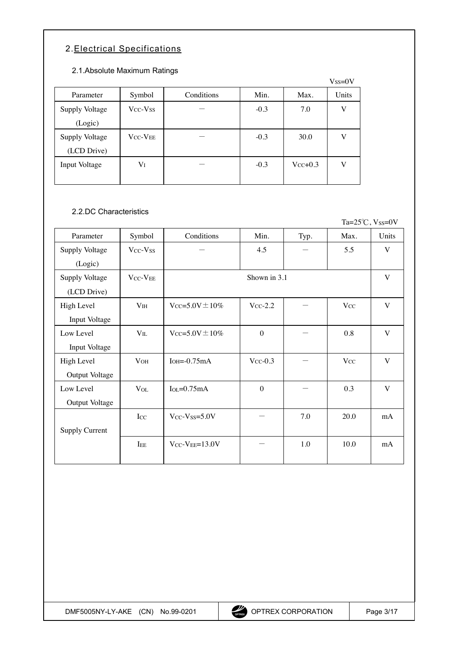# <span id="page-2-0"></span>2.Electrical Specifications

### 2.1.Absolute Maximum Ratings

|                |                                  |            |        |              | $V$ ss= $0V$ |
|----------------|----------------------------------|------------|--------|--------------|--------------|
| Parameter      | Symbol                           | Conditions | Min.   | Max.         | Units        |
| Supply Voltage | V <sub>CC</sub> -V <sub>SS</sub> |            | $-0.3$ | 7.0          | V            |
| (Logic)        |                                  |            |        |              |              |
| Supply Voltage | <b>VCC-VEE</b>                   |            | $-0.3$ | 30.0         | V            |
| (LCD Drive)    |                                  |            |        |              |              |
| Input Voltage  | $\rm V_I$                        |            | $-0.3$ | $V_{CC}+0.3$ | V            |
|                |                                  |            |        |              |              |

## 2.2.DC Characteristics

Ta= $25^{\circ}$ C, Vss=0V

| Parameter             | Symbol                           | Conditions                  | Min.             | Typ. | Max.     | Units        |
|-----------------------|----------------------------------|-----------------------------|------------------|------|----------|--------------|
| Supply Voltage        | Vcc-Vss                          |                             | 4.5              |      | 5.5      | V            |
| (Logic)               |                                  |                             |                  |      |          |              |
| Supply Voltage        | V <sub>CC</sub> -V <sub>EE</sub> |                             | Shown in 3.1     |      |          | $\mathbf{V}$ |
| (LCD Drive)           |                                  |                             |                  |      |          |              |
| High Level            | V <sub>IH</sub>                  | $V_{CC} = 5.0V \pm 10\%$    | $Vcc-2.2$        |      | $V_{CC}$ | $\mathbf{V}$ |
| Input Voltage         |                                  |                             |                  |      |          |              |
| Low Level             | $V_{IL}$                         | $V_{CC} = 5.0V \pm 10\%$    | $\boldsymbol{0}$ |      | 0.8      | V            |
| Input Voltage         |                                  |                             |                  |      |          |              |
| High Level            | V <sub>OH</sub>                  | $IOH=-0.75mA$               | $V_{CC}$ -0.3    |      | $V_{CC}$ | $\mathbf{V}$ |
| Output Voltage        |                                  |                             |                  |      |          |              |
| Low Level             | $V_{OL}$                         | $I_{OL} = 0.75mA$           | $\boldsymbol{0}$ |      | 0.3      | $\mathbf{V}$ |
| Output Voltage        |                                  |                             |                  |      |          |              |
|                       | Icc                              | $Vcc-V$ <sub>SS</sub> =5.0V |                  | 7.0  | 20.0     | mA           |
| <b>Supply Current</b> |                                  |                             |                  |      |          |              |
|                       | IEE                              | $V_{CC}$ - $V_{EE}$ =13.0V  |                  | 1.0  | 10.0     | mA           |
|                       |                                  |                             |                  |      |          |              |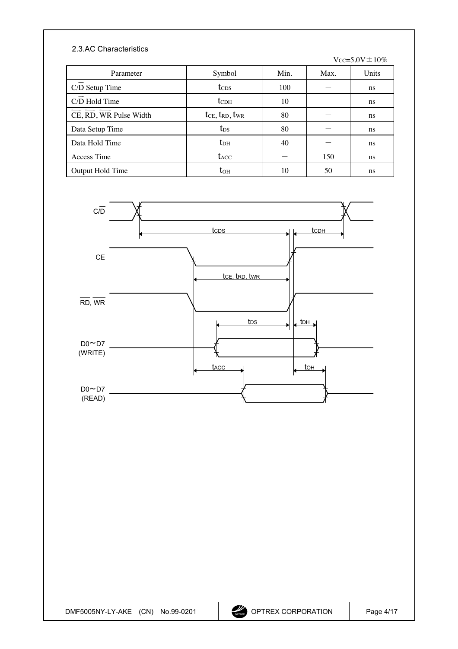### 2.3.AC Characteristics

 $Vcc=5.0V\pm10\%$ 

| Parameter              | Symbol                         | Min. | Max. | Units         |
|------------------------|--------------------------------|------|------|---------------|
| C/D Setup Time         | t <sub>CDS</sub>               | 100  |      | ns            |
| C/D Hold Time          | $t_{CDH}$                      | 10   |      | ns            |
| CE, RD, WR Pulse Width | $t_{CE}$ , $t_{RD}$ , $t_{WR}$ | 80   |      | ns            |
| Data Setup Time        | t <sub>DS</sub>                | 80   |      | <sub>ns</sub> |
| Data Hold Time         | $t_{DH}$                       | 40   |      | ns            |
| Access Time            | t <sub>ACC</sub>               |      | 150  | ns            |
| Output Hold Time       | toh                            | 10   | 50   | ns            |

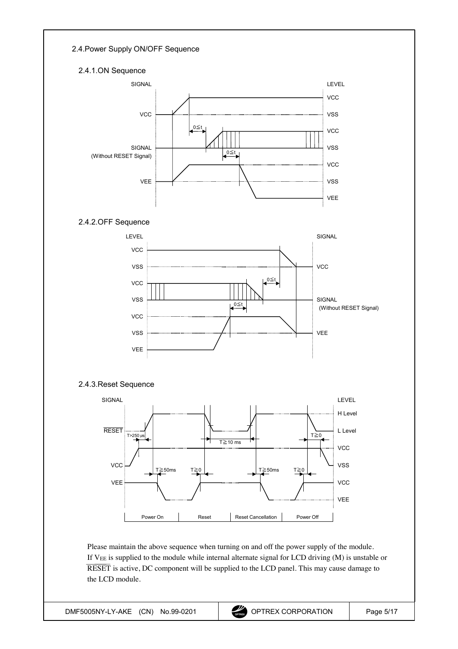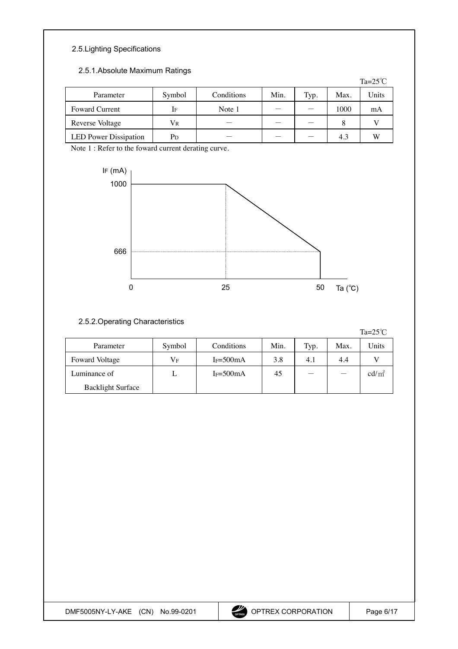# 2.5.Lighting Specifications

### 2.5.1.Absolute Maximum Ratings

|                              |        |            |      |      |      | Ta= $25^{\circ}$ C |
|------------------------------|--------|------------|------|------|------|--------------------|
| Parameter                    | Symbol | Conditions | Min. | Typ. | Max. | Units              |
| <b>Foward Current</b>        | If     | Note 1     |      |      | 1000 | mA                 |
| Reverse Voltage              | Vr     |            |      |      | 8    |                    |
| <b>LED</b> Power Dissipation | Pd     |            |      |      | 4.3  | W                  |

Note 1 : Refer to the foward current derating curve.



### 2.5.2.Operating Characteristics

Ta= $25^{\circ}$ C

| Parameter                | Symbol    | Conditions            | Min. | Typ. | Max. | Units           |
|--------------------------|-----------|-----------------------|------|------|------|-----------------|
| Foward Voltage           | $\rm V_F$ | IF= $500mA$           | 3.8  | 4.1  | 4.4  |                 |
| Luminance of             |           | I <sub>F=500</sub> mA | 45   |      |      | $\text{cd/m}^2$ |
| <b>Backlight Surface</b> |           |                       |      |      |      |                 |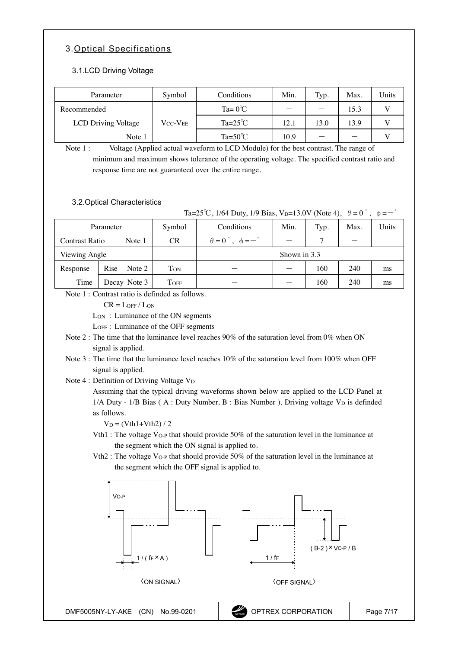## <span id="page-6-0"></span>3.Optical Specifications

#### 3.1.LCD Driving Voltage

| Parameter           | Symbol                     | Conditions        | Min. | Typ. | Max. | Units |
|---------------------|----------------------------|-------------------|------|------|------|-------|
| Recommended         |                            | $Ta = 0^{\circ}C$ |      |      | 15.3 |       |
| LCD Driving Voltage | $\rm V_{CC}\text{-}V_{EE}$ | $Ta=25^{\circ}C$  | 12.1 | 13.0 | 13.9 |       |
| Note 1              |                            | $Ta=50^{\circ}C$  | 10.9 |      |      |       |

Note 1 : Voltage (Applied actual waveform to LCD Module) for the best contrast. The range of minimum and maximum shows tolerance of the operating voltage. The specified contrast ratio and response time are not guaranteed over the entire range.

#### 3.2.Optical Characteristics

Ta=25<sup>°</sup>C, 1/64 Duty, 1/9 Bias, V<sub>D</sub>=13.0V (Note 4),  $\theta = 0^\circ$ ,  $\phi = -\frac{1}{2}$ 

| Parameter      |                | Symbol    | Conditions                                | Min. | Typ. | Max. | Units |
|----------------|----------------|-----------|-------------------------------------------|------|------|------|-------|
| Contrast Ratio | Note 1         | <b>CR</b> | $\theta = 0^{\circ}$ , $\phi = -^{\circ}$ |      |      |      |       |
| Viewing Angle  |                |           | Shown in 3.3                              |      |      |      |       |
| Response       | Rise<br>Note 2 | Ton       |                                           |      | 160  | 240  | ms    |
| Time           | Decay Note 3   | TOFF      |                                           |      | 160  | 240  | ms    |

Note 1 : Contrast ratio is definded as follows.

 $CR = L$ OFF /  $L$ ON

LON : Luminance of the ON segments

LOFF : Luminance of the OFF segments

- Note 2 : The time that the luminance level reaches 90% of the saturation level from 0% when ON signal is applied.
- Note 3 : The time that the luminance level reaches 10% of the saturation level from 100% when OFF signal is applied.

Note 4 : Definition of Driving Voltage V<sub>D</sub>

Assuming that the typical driving waveforms shown below are applied to the LCD Panel at  $1/A$  Duty -  $1/B$  Bias (A : Duty Number, B : Bias Number). Driving voltage  $V_D$  is definded as follows.

 $V_D = (Vth1 + Vth2)/2$ 

- Vth1 : The voltage VO-P that should provide 50% of the saturation level in the luminance at the segment which the ON signal is applied to.
- Vth2 : The voltage VO-P that should provide 50% of the saturation level in the luminance at the segment which the OFF signal is applied to.

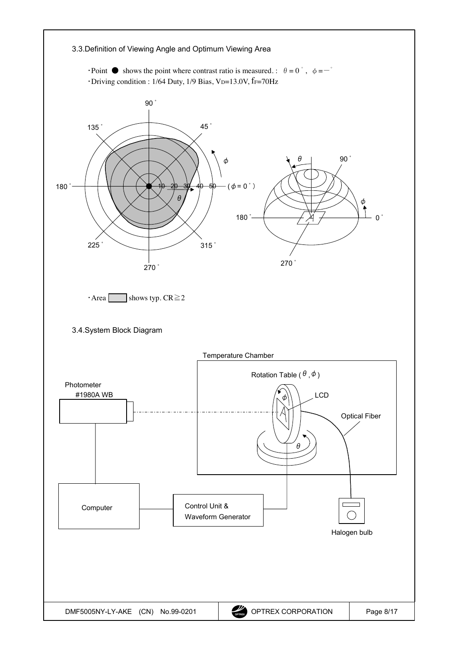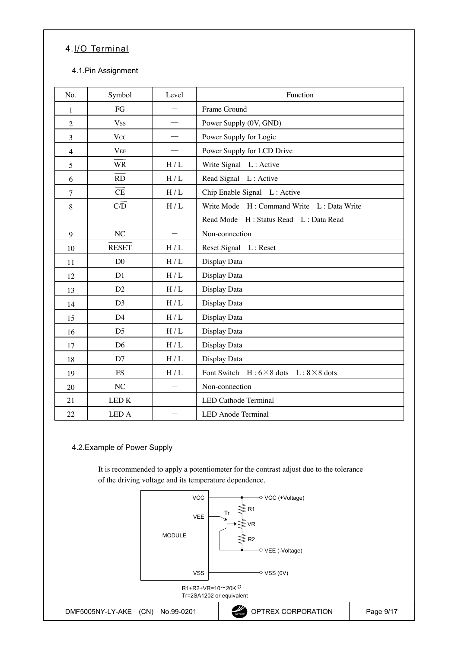# <span id="page-8-0"></span>4.I/O Terminal

### 4.1.Pin Assignment

| No.            | Symbol                 | Level | Function                                              |
|----------------|------------------------|-------|-------------------------------------------------------|
| 1              | FG                     |       | Frame Ground                                          |
| $\overline{2}$ | <b>Vss</b>             |       | Power Supply (0V, GND)                                |
| $\overline{3}$ | <b>Vcc</b>             |       | Power Supply for Logic                                |
| $\overline{4}$ | <b>VEE</b>             |       | Power Supply for LCD Drive                            |
| 5              | <b>WR</b>              | H/L   | Write Signal L: Active                                |
| 6              | RD                     | H/L   | Read Signal L: Active                                 |
| $\tau$         | $\overline{\text{CE}}$ | H/L   | Chip Enable Signal L: Active                          |
| 8              | C/D                    | H/L   | Write Mode H: Command Write L: Data Write             |
|                |                        |       | Read Mode H: Status Read L: Data Read                 |
| 9              | NC                     |       | Non-connection                                        |
| 10             | <b>RESET</b>           | H/L   | Reset Signal L: Reset                                 |
| 11             | D <sub>0</sub>         | H/L   | Display Data                                          |
| 12             | D1                     | H/L   | Display Data                                          |
| 13             | D2                     | H/L   | Display Data                                          |
| 14             | D <sub>3</sub>         | H/L   | Display Data                                          |
| 15             | D <sub>4</sub>         | H/L   | Display Data                                          |
| 16             | D <sub>5</sub>         | H/L   | Display Data                                          |
| 17             | D <sub>6</sub>         | H/L   | Display Data                                          |
| 18             | D7                     | H/L   | Display Data                                          |
| 19             | <b>FS</b>              | H/L   | Font Switch $H: 6 \times 8$ dots $L: 8 \times 8$ dots |
| 20             | NC                     |       | Non-connection                                        |
| 21             | <b>LEDK</b>            |       | <b>LED Cathode Terminal</b>                           |
| 22             | LED A                  |       | <b>LED</b> Anode Terminal                             |

# 4.2.Example of Power Supply

It is recommended to apply a potentiometer for the contrast adjust due to the tolerance of the driving voltage and its temperature dependence.

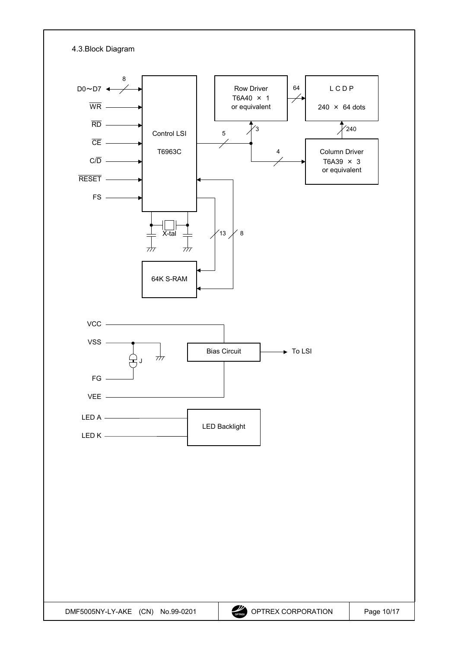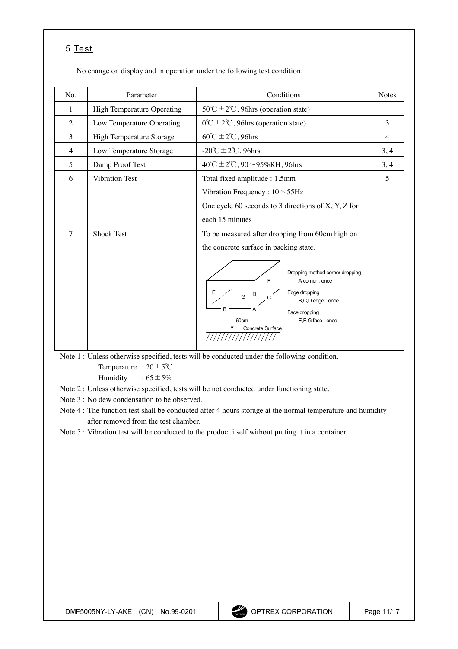# <span id="page-10-0"></span>5.Test

No change on display and in operation under the following test condition.

| No.    | Parameter                         | Conditions                                                                                                                                                            | <b>Notes</b>   |
|--------|-----------------------------------|-----------------------------------------------------------------------------------------------------------------------------------------------------------------------|----------------|
| 1      | <b>High Temperature Operating</b> | $50^{\circ}$ C ± 2°C, 96hrs (operation state)                                                                                                                         |                |
| 2      | Low Temperature Operating         | $0^{\circ}$ C ± 2°C, 96hrs (operation state)                                                                                                                          | 3              |
| 3      | High Temperature Storage          | $60^{\circ}$ C $\pm$ 2°C, 96hrs                                                                                                                                       | $\overline{4}$ |
| 4      | Low Temperature Storage           | -20°C $\pm$ 2°C, 96hrs                                                                                                                                                | 3, 4           |
| 5      | Damp Proof Test                   | 40°C ± 2°C, 90 $\sim$ 95%RH, 96hrs                                                                                                                                    | 3, 4           |
| 6      | <b>Vibration Test</b>             | Total fixed amplitude : 1.5mm                                                                                                                                         | 5              |
|        |                                   | Vibration Frequency : $10 \sim 55$ Hz                                                                                                                                 |                |
|        |                                   | One cycle 60 seconds to 3 directions of $X$ , $Y$ , $Z$ for                                                                                                           |                |
|        |                                   | each 15 minutes                                                                                                                                                       |                |
| $\tau$ | <b>Shock Test</b>                 | To be measured after dropping from 60cm high on                                                                                                                       |                |
|        |                                   | the concrete surface in packing state.                                                                                                                                |                |
|        |                                   | Dropping method corner dropping<br>F<br>A comer: once<br>Edge dropping<br>G<br>B,C,D edge: once<br>B<br>Face dropping<br>E,F,G face: once<br>60cm<br>Concrete Surface |                |

Note 1 : Unless otherwise specified, tests will be conducted under the following condition. Temperature :  $20 \pm 5^{\circ}$ C

Humidity :  $65 \pm 5\%$ 

Note 2 : Unless otherwise specified, tests will be not conducted under functioning state.

Note 3 : No dew condensation to be observed.

Note 4 : The function test shall be conducted after 4 hours storage at the normal temperature and humidity after removed from the test chamber.

Note 5 : Vibration test will be conducted to the product itself without putting it in a container.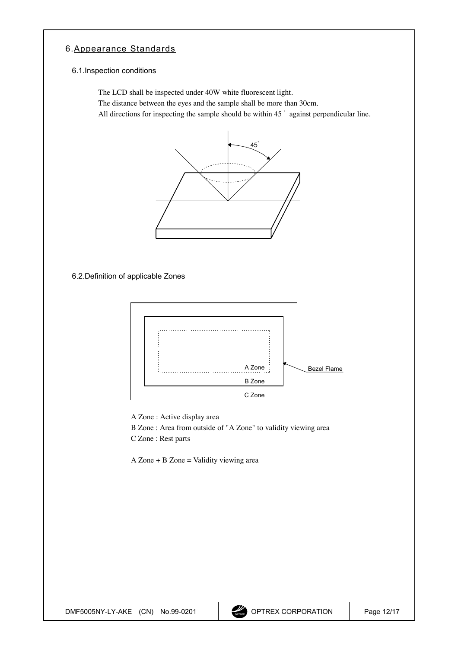## <span id="page-11-0"></span>6.Appearance Standards

### 6.1.Inspection conditions

The LCD shall be inspected under 40W white fluorescent light.

The distance between the eyes and the sample shall be more than 30cm.

All directions for inspecting the sample should be within 45  $\degree$  against perpendicular line.



6.2.Definition of applicable Zones



A Zone : Active display area

B Zone : Area from outside of "A Zone" to validity viewing area

C Zone : Rest parts

 $A$  Zone + B Zone = Validity viewing area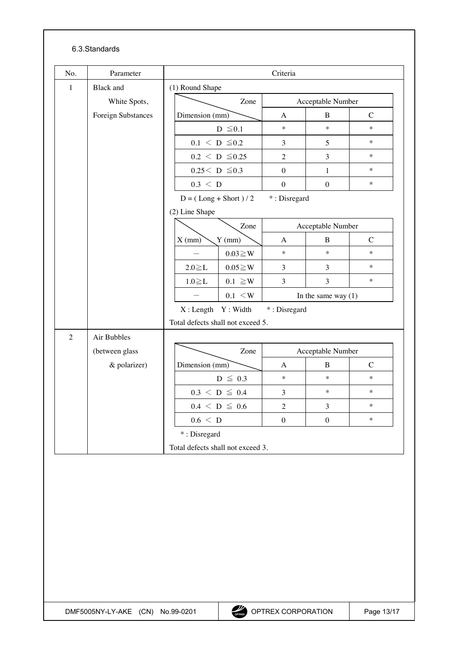### 6.3.Standards

| No.            | Parameter                 | Criteria       |                                   |                       |                   |                |  |  |
|----------------|---------------------------|----------------|-----------------------------------|-----------------------|-------------------|----------------|--|--|
| $\mathbf{1}$   | <b>Black</b> and          |                | (1) Round Shape                   |                       |                   |                |  |  |
|                | White Spots,              |                | Zone                              |                       | Acceptable Number |                |  |  |
|                | <b>Foreign Substances</b> | Dimension (mm) |                                   | A                     | B                 | $\overline{C}$ |  |  |
|                |                           |                | $D \leq 0.1$                      | $\ast$                | $\star$           | $\ast$         |  |  |
|                |                           |                | $0.1 \leq D \leq 0.2$             | 3                     | 5                 | $\ast$         |  |  |
|                |                           |                | $0.2 \le D \le 0.25$              | $\overline{2}$        | 3                 | $\ast$         |  |  |
|                |                           |                | $0.25 < D \le 0.3$                | $\theta$              | $\mathbf{1}$      | $\ast$         |  |  |
|                |                           | $0.3 \leq D$   |                                   | $\boldsymbol{0}$      | $\theta$          | $\ast$         |  |  |
|                |                           |                | $D = (Long + Short) / 2$          | *: Disregard          |                   |                |  |  |
|                |                           | (2) Line Shape |                                   |                       |                   |                |  |  |
|                |                           |                | Zone                              |                       | Acceptable Number |                |  |  |
|                |                           | $X$ (mm)       | $Y$ (mm)                          | A                     | B                 | $\mathcal{C}$  |  |  |
|                |                           |                | $0.03 \geq W$                     | $\ast$                | $\ast$            | $\ast$         |  |  |
|                |                           | $2.0 \geq L$   | $0.05 \geq W$                     | $\mathfrak{Z}$        | 3                 | $\ast$         |  |  |
|                |                           | $1.0 \geq L$   | $0.1 \geq W$                      | 3                     | 3                 | $\ast$         |  |  |
|                |                           |                | $0.1 \leq W$                      | In the same way $(1)$ |                   |                |  |  |
|                |                           |                | X: Length Y: Width                |                       | *: Disregard      |                |  |  |
|                |                           |                | Total defects shall not exceed 5. |                       |                   |                |  |  |
| $\overline{2}$ | Air Bubbles               |                |                                   |                       |                   |                |  |  |
|                | (between glass            |                | Zone                              |                       | Acceptable Number |                |  |  |
|                | & polarizer)              | Dimension (mm) |                                   | A                     | B                 | $\mathcal{C}$  |  |  |
|                |                           |                | $D \leq 0.3$                      | $\ast$                | $\ast$            | $\ast$         |  |  |
|                |                           |                | $0.3 \le D \le 0.4$               | 3                     | $\ast$            | $\ast$         |  |  |
|                |                           |                | $0.4 \leq D \leq 0.6$             | $\overline{2}$        | 3                 | $\ast$         |  |  |
|                |                           | 0.6 < D        |                                   | $\boldsymbol{0}$      | $\boldsymbol{0}$  | $\ast$         |  |  |
|                |                           | *: Disregard   |                                   |                       |                   |                |  |  |
|                |                           |                | Total defects shall not exceed 3. |                       |                   |                |  |  |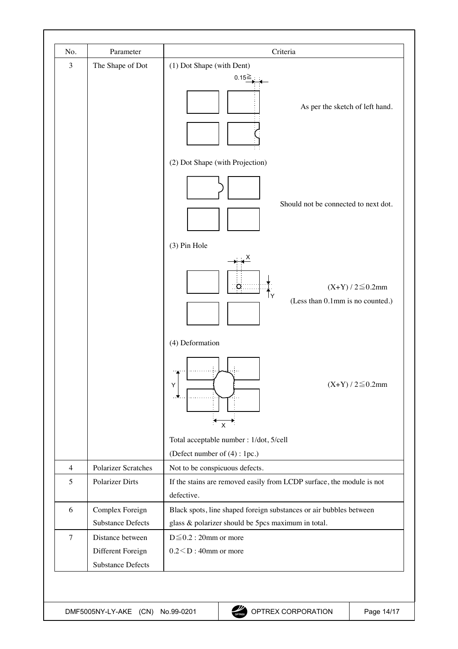| No.            | Parameter                                                         | Criteria                                                                                                                 |
|----------------|-------------------------------------------------------------------|--------------------------------------------------------------------------------------------------------------------------|
| $\mathfrak{Z}$ | The Shape of Dot                                                  | (1) Dot Shape (with Dent)                                                                                                |
|                |                                                                   | $0.15 \geq$                                                                                                              |
|                |                                                                   | As per the sketch of left hand.                                                                                          |
|                |                                                                   | (2) Dot Shape (with Projection)                                                                                          |
|                |                                                                   | Should not be connected to next dot.                                                                                     |
|                |                                                                   | (3) Pin Hole                                                                                                             |
|                |                                                                   | $(X+Y)/2 \le 0.2$ mm<br>- 0.<br>(Less than 0.1mm is no counted.)                                                         |
|                |                                                                   | (4) Deformation<br>$(X+Y)/2 \le 0.2$ mm<br>Y                                                                             |
|                |                                                                   | . У.<br>$\mathsf{x}$                                                                                                     |
|                |                                                                   | Total acceptable number : 1/dot, 5/cell                                                                                  |
|                |                                                                   | (Defect number of $(4)$ : 1pc.)                                                                                          |
| $\overline{4}$ | <b>Polarizer Scratches</b>                                        | Not to be conspicuous defects.                                                                                           |
| 5              | <b>Polarizer Dirts</b>                                            | If the stains are removed easily from LCDP surface, the module is not<br>defective.                                      |
| 6              | Complex Foreign<br><b>Substance Defects</b>                       | Black spots, line shaped foreign substances or air bubbles between<br>glass & polarizer should be 5pcs maximum in total. |
| $\overline{7}$ | Distance between<br>Different Foreign<br><b>Substance Defects</b> | $D \leq 0.2$ : 20mm or more<br>$0.2 < D$ : 40mm or more                                                                  |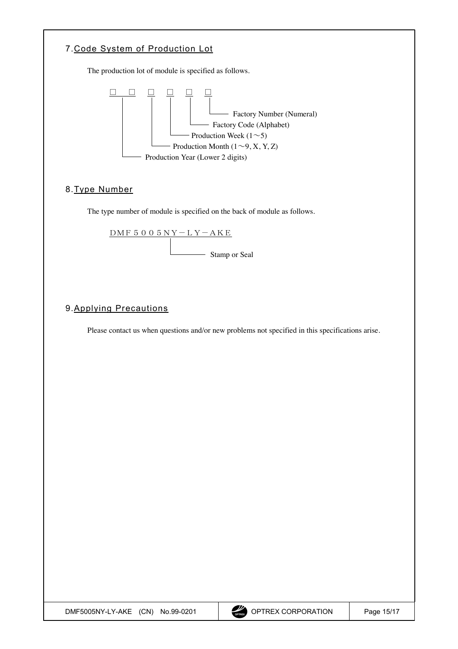<span id="page-14-0"></span>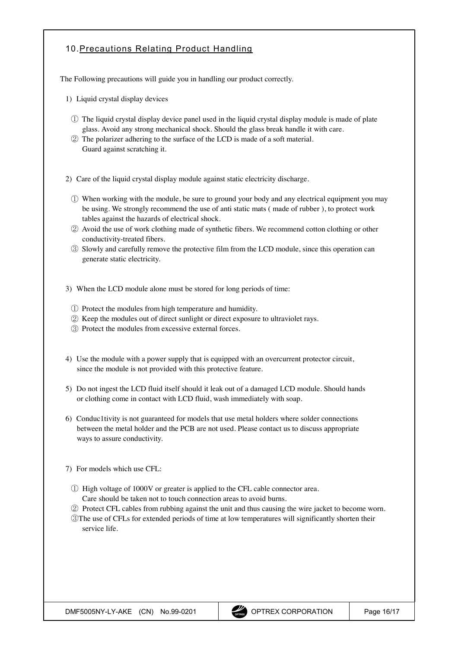## <span id="page-15-0"></span>10.Precautions Relating Product Handling

The Following precautions will guide you in handling our product correctly.

- 1) Liquid crystal display devices
	- Ԙ The liquid crystal display device panel used in the liquid crystal display module is made of plate glass. Avoid any strong mechanical shock. Should the glass break handle it with care.
	- ԙ The polarizer adhering to the surface of the LCD is made of a soft material. Guard against scratching it.

2) Care of the liquid crystal display module against static electricity discharge.

- Ԙ When working with the module, be sure to ground your body and any electrical equipment you may be using. We strongly recommend the use of anti static mats ( made of rubber ), to protect work tables against the hazards of electrical shock.
- ԙ Avoid the use of work clothing made of synthetic fibers. We recommend cotton clothing or other conductivity-treated fibers.
- Ԛ Slowly and carefully remove the protective film from the LCD module, since this operation can generate static electricity.
- 3) When the LCD module alone must be stored for long periods of time:
	- Ԙ Protect the modules from high temperature and humidity.
	- ԙ Keep the modules out of direct sunlight or direct exposure to ultraviolet rays.
	- Ԛ Protect the modules from excessive external forces.
- 4) Use the module with a power supply that is equipped with an overcurrent protector circuit, since the module is not provided with this protective feature.
- 5) Do not ingest the LCD fluid itself should it leak out of a damaged LCD module. Should hands or clothing come in contact with LCD fluid, wash immediately with soap.
- 6) Conduc1tivity is not guaranteed for models that use metal holders where solder connections between the metal holder and the PCB are not used. Please contact us to discuss appropriate ways to assure conductivity.
- 7) For models which use CFL:
	- Ԙ High voltage of 1000V or greater is applied to the CFL cable connector area. Care should be taken not to touch connection areas to avoid burns.
	- ԙ Protect CFL cables from rubbing against the unit and thus causing the wire jacket to become worn.
	- ԚThe use of CFLs for extended periods of time at low temperatures will significantly shorten their service life.